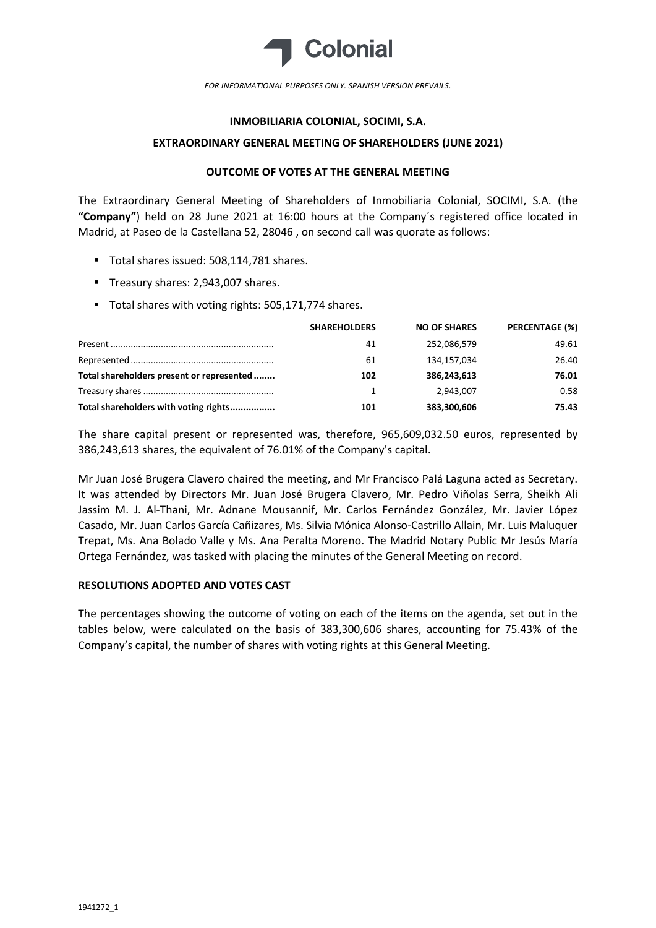

*FOR INFORMATIONAL PURPOSES ONLY. SPANISH VERSION PREVAILS.*

# **INMOBILIARIA COLONIAL, SOCIMI, S.A.**

### **EXTRAORDINARY GENERAL MEETING OF SHAREHOLDERS (JUNE 2021)**

## **OUTCOME OF VOTES AT THE GENERAL MEETING**

The Extraordinary General Meeting of Shareholders of Inmobiliaria Colonial, SOCIMI, S.A. (the **"Company"**) held on 28 June 2021 at 16:00 hours at the Company´s registered office located in Madrid, at Paseo de la Castellana 52, 28046 , on second call was quorate as follows:

- Total shares issued: 508.114.781 shares.
- Treasury shares: 2,943,007 shares.
- Total shares with voting rights: 505,171,774 shares.

|                                           | <b>SHAREHOLDERS</b> | <b>NO OF SHARES</b> | <b>PERCENTAGE (%)</b> |
|-------------------------------------------|---------------------|---------------------|-----------------------|
|                                           | 41                  | 252,086,579         | 49.61                 |
|                                           | 61                  | 134,157,034         | 26.40                 |
| Total shareholders present or represented | 102                 | 386,243,613         | 76.01                 |
|                                           |                     | 2,943,007           | 0.58                  |
| Total shareholders with voting rights     | 101                 | 383,300,606         | 75.43                 |

The share capital present or represented was, therefore, 965,609,032.50 euros, represented by 386,243,613 shares, the equivalent of 76.01% of the Company's capital.

Mr Juan José Brugera Clavero chaired the meeting, and Mr Francisco Palá Laguna acted as Secretary. It was attended by Directors Mr. Juan José Brugera Clavero, Mr. Pedro Viñolas Serra, Sheikh Ali Jassim M. J. Al-Thani, Mr. Adnane Mousannif, Mr. Carlos Fernández González, Mr. Javier López Casado, Mr. Juan Carlos García Cañizares, Ms. Silvia Mónica Alonso-Castrillo Allain, Mr. Luis Maluquer Trepat, Ms. Ana Bolado Valle y Ms. Ana Peralta Moreno. The Madrid Notary Public Mr Jesús María Ortega Fernández, was tasked with placing the minutes of the General Meeting on record.

## **RESOLUTIONS ADOPTED AND VOTES CAST**

The percentages showing the outcome of voting on each of the items on the agenda, set out in the tables below, were calculated on the basis of 383,300,606 shares, accounting for 75.43% of the Company's capital, the number of shares with voting rights at this General Meeting.